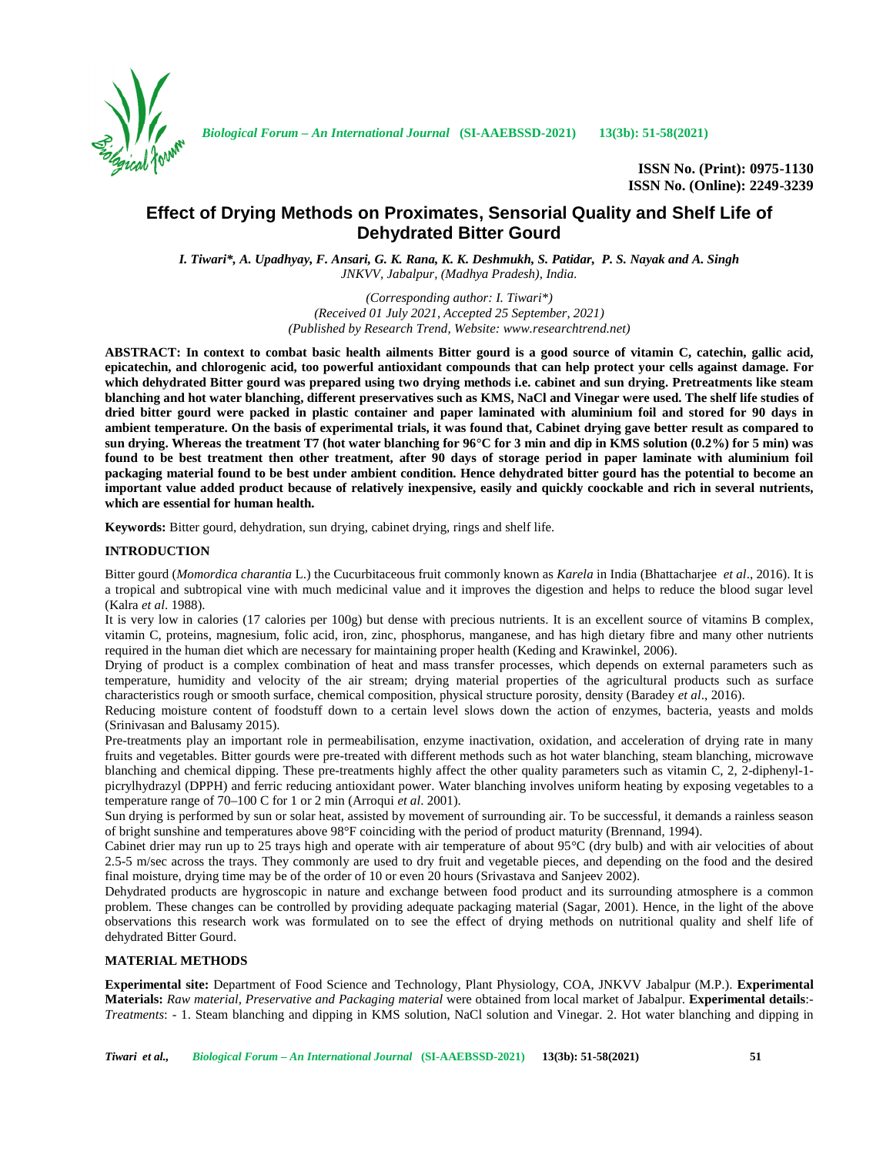

*Biological Forum – An International Journal* **(SI-AAEBSSD-2021) 13(3b): 51-58(2021)**

**ISSN No. (Print): 0975-1130 ISSN No. (Online): 2249-3239**

# **Effect of Drying Methods on Proximates, Sensorial Quality and Shelf Life of Dehydrated Bitter Gourd**

*I. Tiwari\*, A. Upadhyay, F. Ansari, G. K. Rana, K. K. Deshmukh, S. Patidar, P. S. Nayak and A. Singh JNKVV, Jabalpur, (Madhya Pradesh), India.*

> *(Corresponding author: I. Tiwari\*) (Received 01 July 2021, Accepted 25 September, 2021) (Published by Research Trend, Website: <www.researchtrend.net>)*

**ABSTRACT: In context to combat basic health ailments Bitter gourd is a good source of vitamin C, catechin, gallic acid, epicatechin, and chlorogenic acid, too powerful antioxidant compounds that can help protect your cells against damage. For which dehydrated Bitter gourd was prepared using two drying methods i.e. cabinet and sun drying. Pretreatments like steam blanching and hot water blanching, different preservatives such as KMS, NaCl and Vinegar were used. The shelf life studies of dried bitter gourd were packed in plastic container and paper laminated with aluminium foil and stored for 90 days in ambient temperature. On the basis of experimental trials, it was found that, Cabinet drying gave better result as compared to sun drying. Whereas the treatment T7 (hot water blanching for 96°C for 3 min and dip in KMS solution (0.2%) for 5 min) was found to be best treatment then other treatment, after 90 days of storage period in paper laminate with aluminium foil packaging material found to be best under ambient condition. Hence dehydrated bitter gourd has the potential to become an important value added product because of relatively inexpensive, easily and quickly coockable and rich in several nutrients, which are essential for human health.**

**Keywords:** Bitter gourd, dehydration, sun drying, cabinet drying, rings and shelf life.

# **INTRODUCTION**

Bitter gourd (*Momordica charantia* L.) the Cucurbitaceous fruit commonly known as *Karela* in India (Bhattacharjee *et al*., 2016). It is a tropical and subtropical vine with much medicinal value and it improves the digestion and helps to reduce the blood sugar level (Kalra *et al*. 1988).

It is very low in calories (17 calories per 100g) but dense with precious nutrients. It is an excellent source of vitamins B complex, vitamin C, proteins, magnesium, folic acid, iron, zinc, phosphorus, manganese, and has high dietary fibre and many other nutrients required in the human diet which are necessary for maintaining proper health (Keding and Krawinkel, 2006).

Drying of product is a complex combination of heat and mass transfer processes, which depends on external parameters such as temperature, humidity and velocity of the air stream; drying material properties of the agricultural products such as surface characteristics rough or smooth surface, chemical composition, physical structure porosity, density (Baradey *et al*., 2016).

Reducing moisture content of foodstuff down to a certain level slows down the action of enzymes, bacteria, yeasts and molds (Srinivasan and Balusamy 2015).

Pre-treatments play an important role in permeabilisation, enzyme inactivation, oxidation, and acceleration of drying rate in many fruits and vegetables. Bitter gourds were pre-treated with different methods such as hot water blanching, steam blanching, microwave blanching and chemical dipping. These pre-treatments highly affect the other quality parameters such as vitamin C, 2, 2-diphenyl-1 picrylhydrazyl (DPPH) and ferric reducing antioxidant power. Water blanching involves uniform heating by exposing vegetables to a temperature range of 70–100 C for 1 or 2 min (Arroqui *et al*. 2001).

Sun drying is performed by sun or solar heat, assisted by movement of surrounding air. To be successful, it demands a rainless season of bright sunshine and temperatures above 98°F coinciding with the period of product maturity (Brennand, 1994).

Cabinet drier may run up to 25 trays high and operate with air temperature of about 95°C (dry bulb) and with air velocities of about 2.5-5 m/sec across the trays. They commonly are used to dry fruit and vegetable pieces, and depending on the food and the desired final moisture, drying time may be of the order of 10 or even 20 hours (Srivastava and Sanjeev 2002).

Dehydrated products are hygroscopic in nature and exchange between food product and its surrounding atmosphere is a common problem. These changes can be controlled by providing adequate packaging material (Sagar, 2001). Hence, in the light of the above observations this research work was formulated on to see the effect of drying methods on nutritional quality and shelf life of dehydrated Bitter Gourd.

### **MATERIAL METHODS**

**Experimental site:** Department of Food Science and Technology, Plant Physiology, COA, JNKVV Jabalpur (M.P.). **Experimental Materials:** *Raw material, Preservative and Packaging material* were obtained from local market of Jabalpur. **Experimental details**:- *Treatments*: - 1. Steam blanching and dipping in KMS solution, NaCl solution and Vinegar. 2. Hot water blanching and dipping in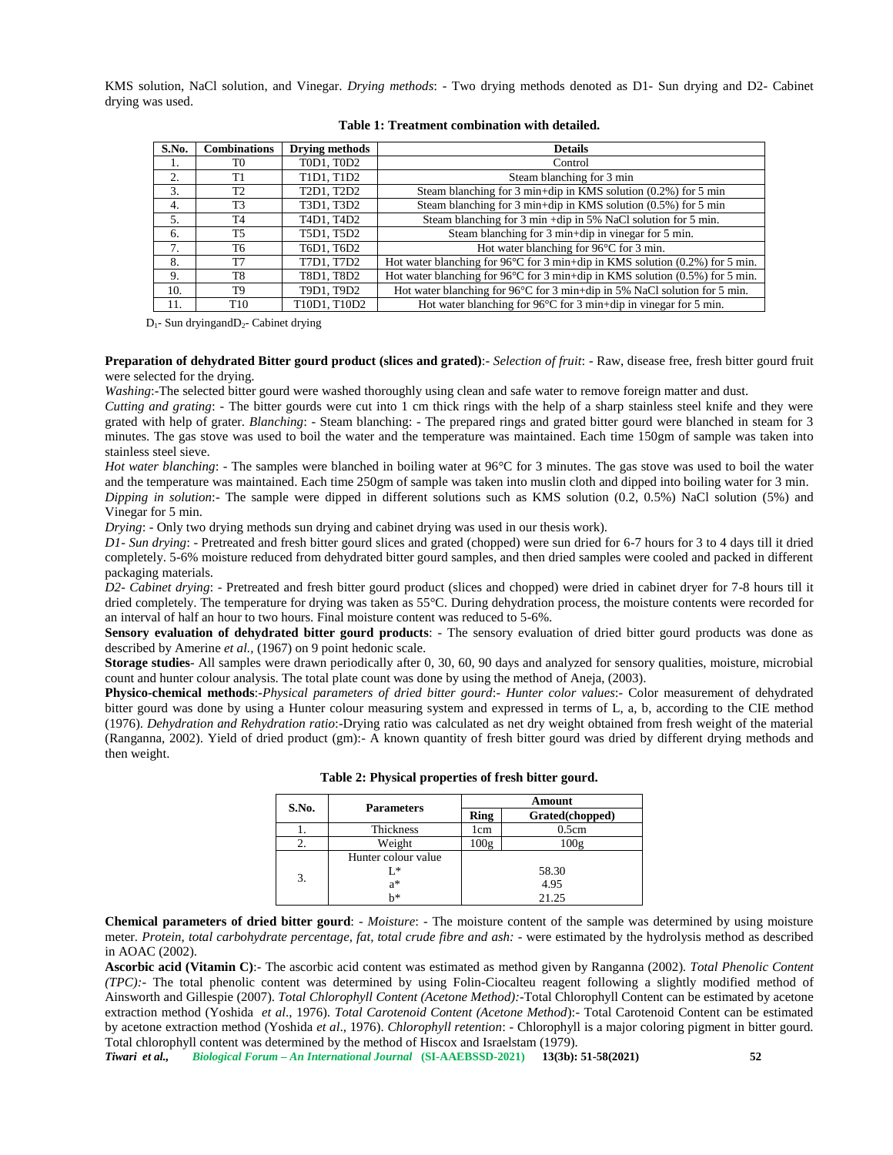KMS solution, NaCl solution, and Vinegar. *Drying methods*: - Two drying methods denoted as D1- Sun drying and D2- Cabinet drying was used.

| S.No.            | <b>Combinations</b> | <b>Drving methods</b>                                         | <b>Details</b>                                                                         |
|------------------|---------------------|---------------------------------------------------------------|----------------------------------------------------------------------------------------|
|                  | T0                  | T0D1, T0D2                                                    | Control                                                                                |
| 2.               | Τ1                  | T1D1, T1D2                                                    | Steam blanching for 3 min                                                              |
| 3.               | T <sub>2</sub>      | T <sub>2</sub> D <sub>1</sub> , T <sub>2</sub> D <sub>2</sub> | Steam blanching for 3 min+dip in KMS solution $(0.2\%)$ for 5 min                      |
| $\overline{4}$ . | T <sub>3</sub>      | T3D1, T3D2                                                    | Steam blanching for 3 min+dip in KMS solution (0.5%) for 5 min                         |
| 5.               | T4                  | T <sub>4</sub> D <sub>1</sub> , T <sub>4</sub> D <sub>2</sub> | Steam blanching for 3 min +dip in 5% NaCl solution for 5 min.                          |
| 6.               | T5                  | T5D1, T5D2                                                    | Steam blanching for 3 min+dip in vinegar for 5 min.                                    |
| 7.               | T6                  | T6D1, T6D2                                                    | Hot water blanching for $96^{\circ}$ C for 3 min.                                      |
| 8.               | T7                  | T7D1, T7D2                                                    | Hot water blanching for 96 $\degree$ C for 3 min+dip in KMS solution (0.2%) for 5 min. |
| 9.               | T8                  | T8D1, T8D2                                                    | Hot water blanching for 96 $\degree$ C for 3 min+dip in KMS solution (0.5%) for 5 min. |
| 10.              | T9                  | T9D1, T9D2                                                    | Hot water blanching for 96°C for 3 min+dip in 5% NaCl solution for 5 min.              |
| 11.              | T <sub>10</sub>     | T10D1. T10D2                                                  | Hot water blanching for $96^{\circ}$ C for 3 min+dip in vinegar for 5 min.             |

#### **Table 1: Treatment combination with detailed.**

 $D_1$ - Sun dryingand $D_2$ - Cabinet drying

**Preparation of dehydrated Bitter gourd product (slices and grated)**:- *Selection of fruit*: - Raw, disease free, fresh bitter gourd fruit were selected for the drying.

*Washing*:-The selected bitter gourd were washed thoroughly using clean and safe water to remove foreign matter and dust.

*Cutting and grating*: - The bitter gourds were cut into 1 cm thick rings with the help of a sharp stainless steel knife and they were grated with help of grater. *Blanching*: - Steam blanching: - The prepared rings and grated bitter gourd were blanched in steam for 3 minutes. The gas stove was used to boil the water and the temperature was maintained. Each time 150gm of sample was taken into stainless steel sieve.

*Hot water blanching*: - The samples were blanched in boiling water at 96°C for 3 minutes. The gas stove was used to boil the water and the temperature was maintained. Each time 250gm of sample was taken into muslin cloth and dipped into boiling water for 3 min. *Dipping in solution*:- The sample were dipped in different solutions such as KMS solution (0.2, 0.5%) NaCl solution (5%) and Vinegar for 5 min.

*Drying*: - Only two drying methods sun drying and cabinet drying was used in our thesis work).

*D1- Sun drying*: - Pretreated and fresh bitter gourd slices and grated (chopped) were sun dried for 6-7 hours for 3 to 4 days till it dried completely. 5-6% moisture reduced from dehydrated bitter gourd samples, and then dried samples were cooled and packed in different packaging materials.

*D2- Cabinet drying*: - Pretreated and fresh bitter gourd product (slices and chopped) were dried in cabinet dryer for 7-8 hours till it dried completely. The temperature for drying was taken as 55°C. During dehydration process, the moisture contents were recorded for an interval of half an hour to two hours. Final moisture content was reduced to 5-6%.

**Sensory evaluation of dehydrated bitter gourd products**: - The sensory evaluation of dried bitter gourd products was done as described by Amerine *et al.,* (1967) on 9 point hedonic scale.

**Storage studies**- All samples were drawn periodically after 0, 30, 60, 90 days and analyzed for sensory qualities, moisture, microbial count and hunter colour analysis. The total plate count was done by using the method of Aneja, (2003).

**Physico-chemical methods**:-*Physical parameters of dried bitter gourd*:- *Hunter color values*:- Color measurement of dehydrated bitter gourd was done by using a Hunter colour measuring system and expressed in terms of L, a, b, according to the CIE method (1976). *Dehydration and Rehydration ratio*:-Drying ratio was calculated as net dry weight obtained from fresh weight of the material (Ranganna, 2002). Yield of dried product (gm):- A known quantity of fresh bitter gourd was dried by different drying methods and then weight.

| S.No. | <b>Parameters</b>   |      | Amount          |
|-------|---------------------|------|-----------------|
|       |                     | Ring | Grated(chopped) |
|       | Thickness           | 1cm  | 0.5cm           |
| ۷.    | Weight              | 100g | 100g            |
|       | Hunter colour value |      |                 |
| 3.    | $L^*$               |      | 58.30           |
|       | a*                  |      | 4.95            |
|       | h*                  |      | 21.25           |

| Table 2: Physical properties of fresh bitter gourd. |  |  |  |
|-----------------------------------------------------|--|--|--|
|-----------------------------------------------------|--|--|--|

**Chemical parameters of dried bitter gourd**: - *Moisture*: - The moisture content of the sample was determined by using moisture meter. *Protein*, *total carbohydrate percentage, fat, total crude fibre and ash:* - were estimated by the hydrolysis method as described in AOAC (2002).

**Ascorbic acid (Vitamin C)**:- The ascorbic acid content was estimated as method given by Ranganna (2002). *Total Phenolic Content (TPC):-* The total phenolic content was determined by using Folin-Ciocalteu reagent following a slightly modified method of Ainsworth and Gillespie (2007). *Total Chlorophyll Content (Acetone Method):-*Total Chlorophyll Content can be estimated by acetone extraction method (Yoshida *et al*., 1976). *Total Carotenoid Content (Acetone Method*):- Total Carotenoid Content can be estimated by acetone extraction method (Yoshida *et al*., 1976). *Chlorophyll retention*: - Chlorophyll is a major coloring pigment in bitter gourd. Total chlorophyll content was determined by the method of Hiscox and Israelstam (1979).

*Tiwari et al., Biological Forum – An International Journal* **(SI-AAEBSSD-2021) 13(3b): 51-58(2021) 52**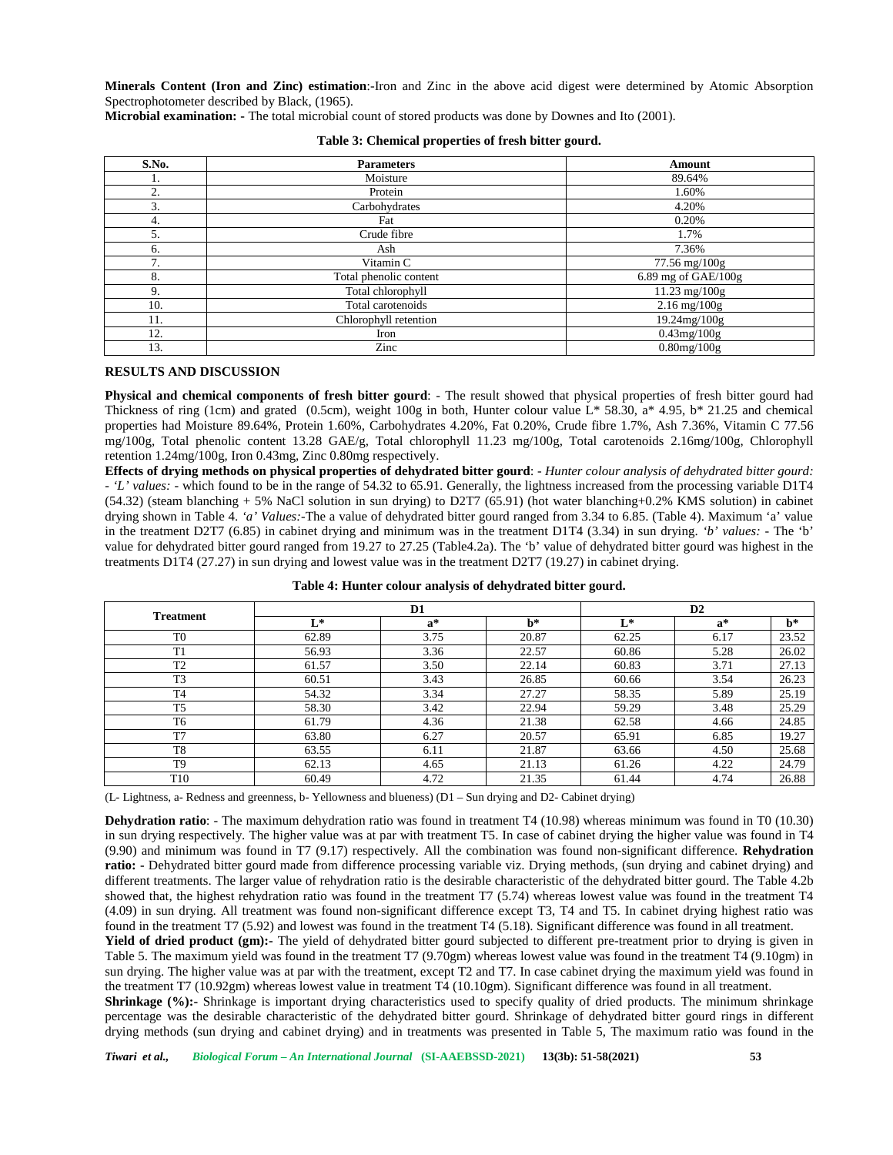**Minerals Content (Iron and Zinc) estimation**:-Iron and Zinc in the above acid digest were determined by Atomic Absorption Spectrophotometer described by Black, (1965).

**Microbial examination: -** The total microbial count of stored products was done by Downes and Ito (2001).

| S.No. | <b>Parameters</b>      | Amount              |
|-------|------------------------|---------------------|
|       | Moisture               | 89.64%              |
| ↑     | Protein                | 1.60%               |
| 3.    | Carbohydrates          | 4.20%               |
| 4.    | Fat                    | 0.20%               |
| 5.    | Crude fibre            | 1.7%                |
| 6.    | Ash                    | 7.36%               |
| 7     | Vitamin C              | 77.56 mg/100g       |
| 8.    | Total phenolic content | 6.89 mg of GAE/100g |
| 9.    | Total chlorophyll      | 11.23 mg/100g       |
| 10.   | Total carotenoids      | $2.16$ mg/ $100g$   |
| 11.   | Chlorophyll retention  | 19.24mg/100g        |
| 12.   | Iron                   | $0.43$ mg/ $100$ g  |
| 13.   | Zinc                   | $0.80$ mg/ $100$ g  |

|  | Table 3: Chemical properties of fresh bitter gourd. |  |
|--|-----------------------------------------------------|--|
|--|-----------------------------------------------------|--|

### **RESULTS AND DISCUSSION**

**Physical and chemical components of fresh bitter gourd**: - The result showed that physical properties of fresh bitter gourd had Thickness of ring (1cm) and grated (0.5cm), weight 100g in both, Hunter colour value  $L^*$  58.30, a\* 4.95, b\* 21.25 and chemical properties had Moisture 89.64%, Protein 1.60%, Carbohydrates 4.20%, Fat 0.20%, Crude fibre 1.7%, Ash 7.36%, Vitamin C 77.56 mg/100g, Total phenolic content 13.28 GAE/g, Total chlorophyll 11.23 mg/100g, Total carotenoids 2.16mg/100g, Chlorophyll retention 1.24mg/100g, Iron 0.43mg, Zinc 0.80mg respectively.

**Effects of drying methods on physical properties of dehydrated bitter gourd**: - *Hunter colour analysis of dehydrated bitter gourd: - 'L' values: -* which found to be in the range of 54.32 to 65.91. Generally, the lightness increased from the processing variable D1T4  $(54.32)$  (steam blanching + 5% NaCl solution in sun drying) to D2T7 (65.91) (hot water blanching+0.2% KMS solution) in cabinet drying shown in Table 4. *'a' Values:-*The a value of dehydrated bitter gourd ranged from 3.34 to 6.85. (Table 4). Maximum 'a' value in the treatment D2T7 (6.85) in cabinet drying and minimum was in the treatment D1T4 (3.34) in sun drying. *'b' values: -* The 'b' value for dehydrated bitter gourd ranged from 19.27 to 27.25 (Table4.2a). The 'b' value of dehydrated bitter gourd was highest in the treatments D1T4 (27.27) in sun drying and lowest value was in the treatment D2T7 (19.27) in cabinet drying.

| <b>Treatment</b> |       | D1    |       | D2    |       |       |  |  |
|------------------|-------|-------|-------|-------|-------|-------|--|--|
|                  | $L^*$ | $a^*$ | $h*$  | $L^*$ | $a^*$ | $h^*$ |  |  |
| T <sub>0</sub>   | 62.89 | 3.75  | 20.87 | 62.25 | 6.17  | 23.52 |  |  |
| T1               | 56.93 | 3.36  | 22.57 | 60.86 | 5.28  | 26.02 |  |  |
| T <sub>2</sub>   | 61.57 | 3.50  | 22.14 | 60.83 | 3.71  | 27.13 |  |  |
| T <sub>3</sub>   | 60.51 | 3.43  | 26.85 | 60.66 | 3.54  | 26.23 |  |  |
| <b>T4</b>        | 54.32 | 3.34  | 27.27 | 58.35 | 5.89  | 25.19 |  |  |
| T <sub>5</sub>   | 58.30 | 3.42  | 22.94 | 59.29 | 3.48  | 25.29 |  |  |
| T <sub>6</sub>   | 61.79 | 4.36  | 21.38 | 62.58 | 4.66  | 24.85 |  |  |
| T <sub>7</sub>   | 63.80 | 6.27  | 20.57 | 65.91 | 6.85  | 19.27 |  |  |
| T8               | 63.55 | 6.11  | 21.87 | 63.66 | 4.50  | 25.68 |  |  |
| T <sub>9</sub>   | 62.13 | 4.65  | 21.13 | 61.26 | 4.22  | 24.79 |  |  |
| T <sub>10</sub>  | 60.49 | 4.72  | 21.35 | 61.44 | 4.74  | 26.88 |  |  |

**Table 4: Hunter colour analysis of dehydrated bitter gourd.**

(L- Lightness, a- Redness and greenness, b- Yellowness and blueness) (D1 – Sun drying and D2- Cabinet drying)

**Dehydration ratio**: - The maximum dehydration ratio was found in treatment T4 (10.98) whereas minimum was found in T0 (10.30) in sun drying respectively. The higher value was at par with treatment T5. In case of cabinet drying the higher value was found in T4 (9.90) and minimum was found in T7 (9.17) respectively. All the combination was found non-significant difference. **Rehydration ratio: -** Dehydrated bitter gourd made from difference processing variable viz. Drying methods, (sun drying and cabinet drying) and different treatments. The larger value of rehydration ratio is the desirable characteristic of the dehydrated bitter gourd. The Table 4.2b showed that, the highest rehydration ratio was found in the treatment T7 (5.74) whereas lowest value was found in the treatment T4 (4.09) in sun drying. All treatment was found non-significant difference except T3, T4 and T5. In cabinet drying highest ratio was found in the treatment T7 (5.92) and lowest was found in the treatment T4 (5.18). Significant difference was found in all treatment.

Yield of dried product (gm):- The yield of dehydrated bitter gourd subjected to different pre-treatment prior to drying is given in Table 5. The maximum yield was found in the treatment T7 (9.70gm) whereas lowest value was found in the treatment T4 (9.10gm) in sun drying. The higher value was at par with the treatment, except T2 and T7. In case cabinet drying the maximum yield was found in the treatment T7 (10.92gm) whereas lowest value in treatment T4 (10.10gm). Significant difference was found in all treatment.

**Shrinkage (%):-** Shrinkage is important drying characteristics used to specify quality of dried products. The minimum shrinkage percentage was the desirable characteristic of the dehydrated bitter gourd. Shrinkage of dehydrated bitter gourd rings in different drying methods (sun drying and cabinet drying) and in treatments was presented in Table 5, The maximum ratio was found in the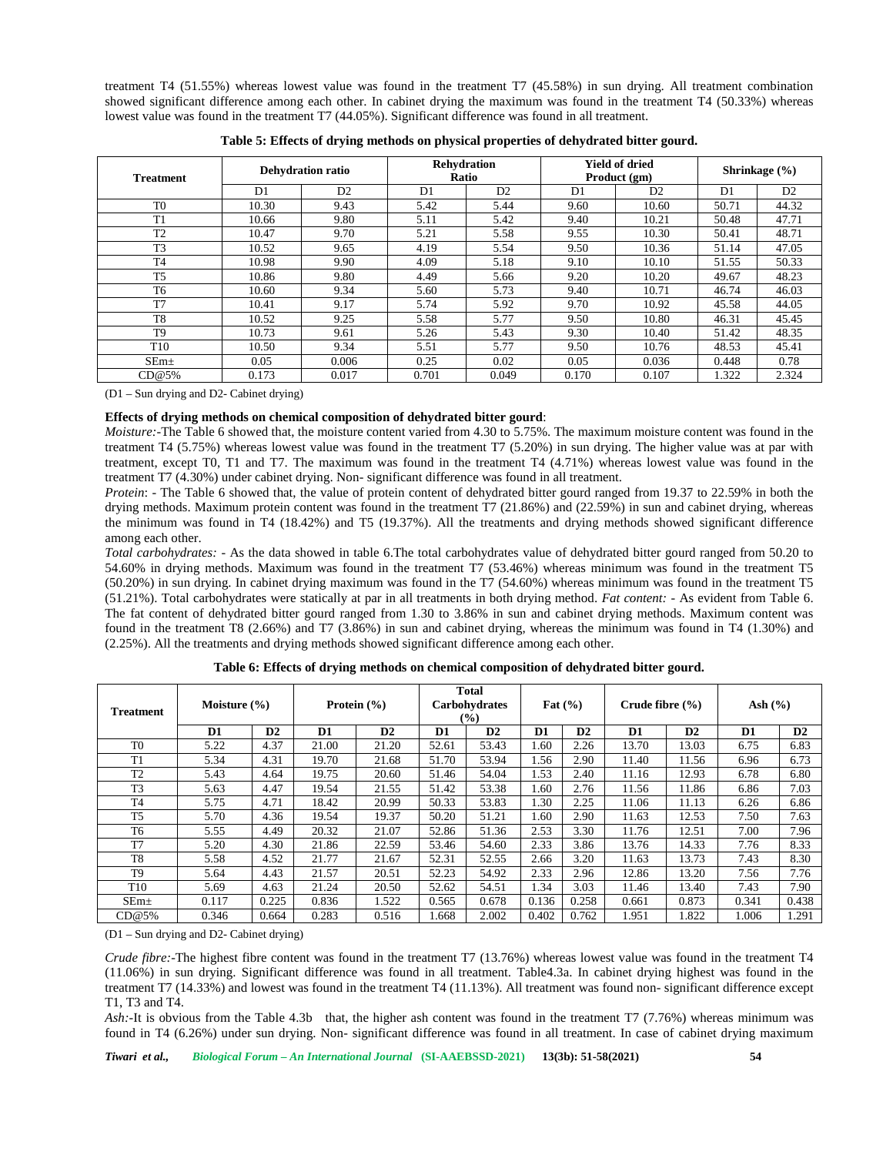treatment T4 (51.55%) whereas lowest value was found in the treatment T7 (45.58%) in sun drying. All treatment combination showed significant difference among each other. In cabinet drying the maximum was found in the treatment T4 (50.33%) whereas lowest value was found in the treatment T7 (44.05%). Significant difference was found in all treatment.

| <b>Treatment</b> |                | <b>Dehydration ratio</b> | <b>Rehydration</b><br>Ratio |                |                | <b>Yield of dried</b><br>Product (gm) | Shrinkage $(\% )$ |                |  |
|------------------|----------------|--------------------------|-----------------------------|----------------|----------------|---------------------------------------|-------------------|----------------|--|
|                  | D <sub>1</sub> | D <sub>2</sub>           | D <sub>1</sub>              | D <sub>2</sub> | D <sub>1</sub> | D <sub>2</sub>                        | D <sub>1</sub>    | D <sub>2</sub> |  |
| T <sub>0</sub>   | 10.30          | 9.43                     | 5.42                        | 5.44           | 9.60           | 10.60                                 | 50.71             | 44.32          |  |
| T <sub>1</sub>   | 10.66          | 9.80                     | 5.11                        | 5.42           | 9.40           | 10.21                                 | 50.48             | 47.71          |  |
| T2               | 10.47          | 9.70                     | 5.21                        | 5.58           | 9.55           | 10.30                                 | 50.41             | 48.71          |  |
| T <sub>3</sub>   | 10.52          | 9.65                     | 4.19                        | 5.54           | 9.50           | 10.36                                 | 51.14             | 47.05          |  |
| T <sub>4</sub>   | 10.98          | 9.90                     | 4.09                        | 5.18           | 9.10           | 10.10                                 | 51.55             | 50.33          |  |
| T <sub>5</sub>   | 10.86          | 9.80                     | 4.49                        | 5.66           | 9.20           | 10.20                                 | 49.67             | 48.23          |  |
| T <sub>6</sub>   | 10.60          | 9.34                     | 5.60                        | 5.73           | 9.40           | 10.71                                 | 46.74             | 46.03          |  |
| T <sub>7</sub>   | 10.41          | 9.17                     | 5.74                        | 5.92           | 9.70           | 10.92                                 | 45.58             | 44.05          |  |
| T <sub>8</sub>   | 10.52          | 9.25                     | 5.58                        | 5.77           | 9.50           | 10.80                                 | 46.31             | 45.45          |  |
| T <sub>9</sub>   | 10.73          | 9.61                     | 5.26                        | 5.43           | 9.30           | 10.40                                 | 51.42             | 48.35          |  |
| T <sub>10</sub>  | 10.50          | 9.34                     | 5.51                        | 5.77           | 9.50           | 10.76                                 | 48.53             | 45.41          |  |
| SEm <sub>±</sub> | 0.05           | 0.006                    | 0.25                        | 0.02           | 0.05           | 0.036                                 | 0.448             | 0.78           |  |
| CD@5%            | 0.173          | 0.017                    | 0.701                       | 0.049          | 0.170          | 0.107                                 | 1.322             | 2.324          |  |

| Table 5: Effects of drying methods on physical properties of dehydrated bitter gourd. |  |  |  |  |  |  |  |
|---------------------------------------------------------------------------------------|--|--|--|--|--|--|--|
|---------------------------------------------------------------------------------------|--|--|--|--|--|--|--|

(D1 – Sun drying and D2- Cabinet drying)

# **Effects of drying methods on chemical composition of dehydrated bitter gourd**:

*Moisture:-*The Table 6 showed that, the moisture content varied from 4.30 to 5.75%. The maximum moisture content was found in the treatment T4 (5.75%) whereas lowest value was found in the treatment T7 (5.20%) in sun drying. The higher value was at par with treatment, except T0, T1 and T7. The maximum was found in the treatment T4 (4.71%) whereas lowest value was found in the treatment T7 (4.30%) under cabinet drying. Non- significant difference was found in all treatment.

*Protein*: - The Table 6 showed that, the value of protein content of dehydrated bitter gourd ranged from 19.37 to 22.59% in both the drying methods. Maximum protein content was found in the treatment T7 (21.86%) and (22.59%) in sun and cabinet drying, whereas the minimum was found in T4 (18.42%) and T5 (19.37%). All the treatments and drying methods showed significant difference among each other.

*Total carbohydrates: -* As the data showed in table 6.The total carbohydrates value of dehydrated bitter gourd ranged from 50.20 to 54.60% in drying methods. Maximum was found in the treatment T7 (53.46%) whereas minimum was found in the treatment T5 (50.20%) in sun drying. In cabinet drying maximum was found in the T7 (54.60%) whereas minimum was found in the treatment T5 (51.21%). Total carbohydrates were statically at par in all treatments in both drying method. *Fat content: -* As evident from Table 6. The fat content of dehydrated bitter gourd ranged from 1.30 to 3.86% in sun and cabinet drying methods. Maximum content was found in the treatment T8 (2.66%) and T7 (3.86%) in sun and cabinet drying, whereas the minimum was found in T4 (1.30%) and (2.25%). All the treatments and drying methods showed significant difference among each other.

| <b>Treatment</b> | Moisture $(\% )$ |       | Protein $(\% )$ |       | <b>Total</b><br>Carbohydrates<br>(%) |               | Fat $(\% )$ |               | Crude fibre $(%$ |       | Ash $(\% )$ |               |
|------------------|------------------|-------|-----------------|-------|--------------------------------------|---------------|-------------|---------------|------------------|-------|-------------|---------------|
|                  | D1               | D2    | D1              | D2    | D1                                   | $\mathbf{D2}$ | D1          | $\mathbf{D2}$ | D1               | D2    | D1          | $\mathbf{D2}$ |
| T <sub>0</sub>   | 5.22             | 4.37  | 21.00           | 21.20 | 52.61                                | 53.43         | l.60        | 2.26          | 13.70            | 13.03 | 6.75        | 6.83          |
| T1               | 5.34             | 4.31  | 19.70           | 21.68 | 51.70                                | 53.94         | l.56        | 2.90          | 11.40            | 11.56 | 6.96        | 6.73          |
| T <sub>2</sub>   | 5.43             | 4.64  | 19.75           | 20.60 | 51.46                                | 54.04         | 1.53        | 2.40          | 11.16            | 12.93 | 6.78        | 6.80          |
| T <sub>3</sub>   | 5.63             | 4.47  | 19.54           | 21.55 | 51.42                                | 53.38         | l.60        | 2.76          | 11.56            | 11.86 | 6.86        | 7.03          |
| T <sub>4</sub>   | 5.75             | 4.71  | 18.42           | 20.99 | 50.33                                | 53.83         | l.30        | 2.25          | 11.06            | 11.13 | 6.26        | 6.86          |
| T <sub>5</sub>   | 5.70             | 4.36  | 19.54           | 19.37 | 50.20                                | 51.21         | 1.60        | 2.90          | 11.63            | 12.53 | 7.50        | 7.63          |
| T <sub>6</sub>   | 5.55             | 4.49  | 20.32           | 21.07 | 52.86                                | 51.36         | 2.53        | 3.30          | 11.76            | 12.51 | 7.00        | 7.96          |
| T <sub>7</sub>   | 5.20             | 4.30  | 21.86           | 22.59 | 53.46                                | 54.60         | 2.33        | 3.86          | 13.76            | 14.33 | 7.76        | 8.33          |
| T <sub>8</sub>   | 5.58             | 4.52  | 21.77           | 21.67 | 52.31                                | 52.55         | 2.66        | 3.20          | 11.63            | 13.73 | 7.43        | 8.30          |
| T <sub>9</sub>   | 5.64             | 4.43  | 21.57           | 20.51 | 52.23                                | 54.92         | 2.33        | 2.96          | 12.86            | 13.20 | 7.56        | 7.76          |
| T <sub>10</sub>  | 5.69             | 4.63  | 21.24           | 20.50 | 52.62                                | 54.51         | 1.34        | 3.03          | 11.46            | 13.40 | 7.43        | 7.90          |
| $SEm+$           | 0.117            | 0.225 | 0.836           | 1.522 | 0.565                                | 0.678         | 0.136       | 0.258         | 0.661            | 0.873 | 0.341       | 0.438         |
| CD@5%            | 0.346            | 0.664 | 0.283           | 0.516 | .668                                 | 2.002         | 0.402       | 0.762         | 1.951            | 1.822 | 1.006       | 1.291         |

**Table 6: Effects of drying methods on chemical composition of dehydrated bitter gourd.**

(D1 – Sun drying and D2- Cabinet drying)

*Crude fibre:-*The highest fibre content was found in the treatment T7 (13.76%) whereas lowest value was found in the treatment T4 (11.06%) in sun drying. Significant difference was found in all treatment. Table4.3a. In cabinet drying highest was found in the treatment T7 (14.33%) and lowest was found in the treatment T4 (11.13%). All treatment was found non- significant difference except T1, T3 and T4.

*Ash:*-It is obvious from the Table 4.3b that, the higher ash content was found in the treatment T7 (7.76%) whereas minimum was found in T4 (6.26%) under sun drying. Non- significant difference was found in all treatment. In case of cabinet drying maximum

*Tiwari et al., Biological Forum – An International Journal* **(SI-AAEBSSD-2021) 13(3b): 51-58(2021) 54**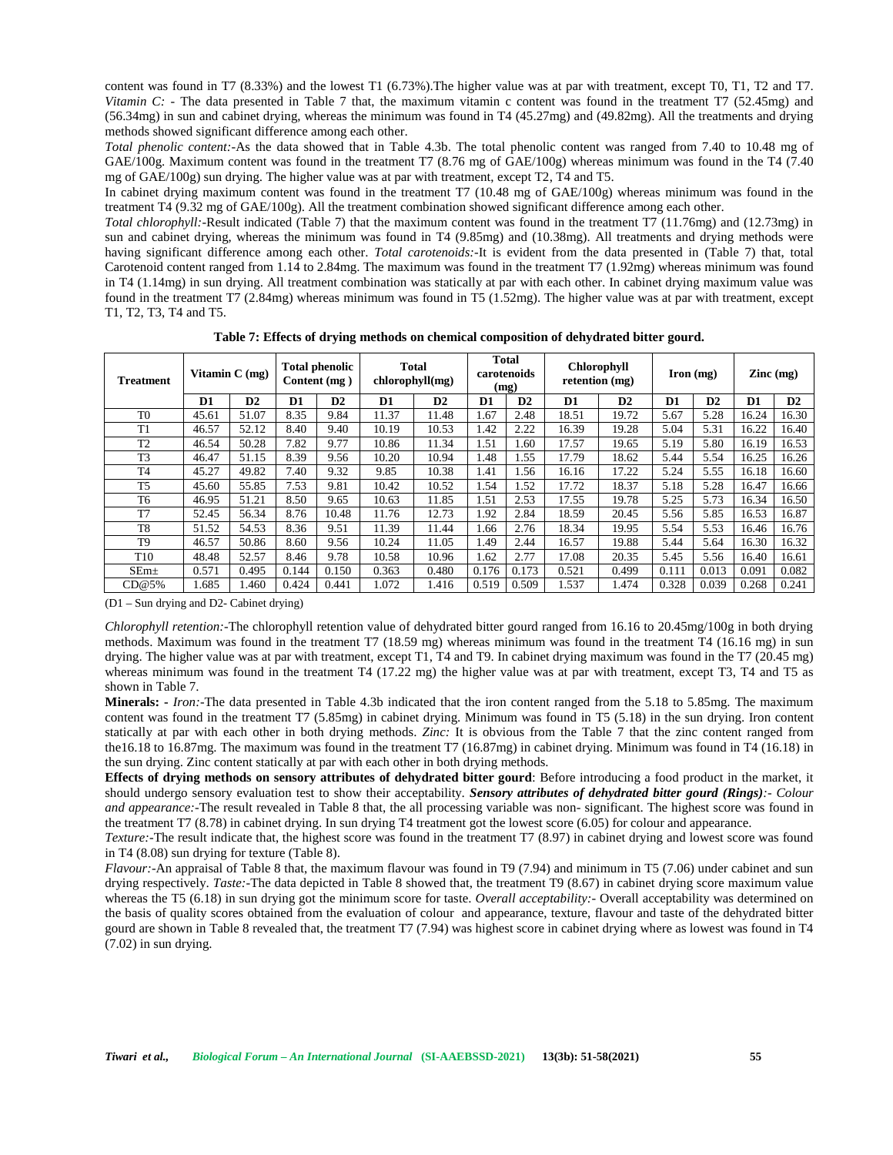content was found in T7 (8.33%) and the lowest T1 (6.73%).The higher value was at par with treatment, except T0, T1, T2 and T7. *Vitamin C:* - The data presented in Table 7 that, the maximum vitamin c content was found in the treatment T7 (52.45mg) and (56.34mg) in sun and cabinet drying, whereas the minimum was found in T4 (45.27mg) and (49.82mg). All the treatments and drying methods showed significant difference among each other.

*Total phenolic content:-*As the data showed that in Table 4.3b. The total phenolic content was ranged from 7.40 to 10.48 mg of GAE/100g. Maximum content was found in the treatment T7 (8.76 mg of GAE/100g) whereas minimum was found in the T4 (7.40 mg of GAE/100g) sun drying. The higher value was at par with treatment, except T2, T4 and T5.

In cabinet drying maximum content was found in the treatment T7 (10.48 mg of GAE/100g) whereas minimum was found in the treatment T4 (9.32 mg of GAE/100g). All the treatment combination showed significant difference among each other.

*Total chlorophyll:-*Result indicated (Table 7) that the maximum content was found in the treatment T7 (11.76mg) and (12.73mg) in sun and cabinet drying, whereas the minimum was found in T4 (9.85mg) and (10.38mg). All treatments and drying methods were having significant difference among each other. *Total carotenoids:-*It is evident from the data presented in (Table 7) that, total Carotenoid content ranged from 1.14 to 2.84mg. The maximum was found in the treatment T7 (1.92mg) whereas minimum was found in T4 (1.14mg) in sun drying. All treatment combination was statically at par with each other. In cabinet drying maximum value was found in the treatment T7 (2.84mg) whereas minimum was found in T5 (1.52mg). The higher value was at par with treatment, except T1, T2, T3, T4 and T5.

**Table 7: Effects of drying methods on chemical composition of dehydrated bitter gourd.**

| Treatment       | Vitamin $C$ (mg) |       | <b>Total</b><br><b>Total phenolic</b><br>chlorophyll(mg)<br>Content (mg) |       | <b>Total</b><br>carotenoids<br>(mg) |       | <b>Chlorophyll</b><br>retention (mg) |               | $\Gamma$ Iron $(mg)$ |               | $\text{Zinc} \left( \text{mg} \right)$ |       |       |       |
|-----------------|------------------|-------|--------------------------------------------------------------------------|-------|-------------------------------------|-------|--------------------------------------|---------------|----------------------|---------------|----------------------------------------|-------|-------|-------|
|                 | D1               | D2    | D1                                                                       | D2    | D1                                  | D2    | D1                                   | $\mathbf{D2}$ | D1                   | $\mathbf{D2}$ | D1                                     | D2    | D1    | D2    |
| T <sub>0</sub>  | 45.61            | 51.07 | 8.35                                                                     | 9.84  | 11.37                               | 11.48 | 1.67                                 | 2.48          | 18.51                | 19.72         | 5.67                                   | 5.28  | 16.24 | 16.30 |
| T1              | 46.57            | 52.12 | 8.40                                                                     | 9.40  | 10.19                               | 10.53 | 1.42                                 | 2.22          | 16.39                | 19.28         | 5.04                                   | 5.31  | 16.22 | 16.40 |
| T <sub>2</sub>  | 46.54            | 50.28 | 7.82                                                                     | 9.77  | 10.86                               | 11.34 | 1.51                                 | . .60         | 17.57                | 19.65         | 5.19                                   | 5.80  | 16.19 | 16.53 |
| T <sub>3</sub>  | 46.47            | 51.15 | 8.39                                                                     | 9.56  | 10.20                               | 10.94 | .48                                  | .55           | 17.79                | 18.62         | 5.44                                   | 5.54  | 16.25 | 16.26 |
| T <sub>4</sub>  | 45.27            | 49.82 | 7.40                                                                     | 9.32  | 9.85                                | 10.38 | $\lfloor .41$                        | .56           | 16.16                | 17.22         | 5.24                                   | 5.55  | 16.18 | 16.60 |
| T <sub>5</sub>  | 45.60            | 55.85 | 7.53                                                                     | 9.81  | 10.42                               | 10.52 | 1.54                                 | 1.52          | 17.72                | 18.37         | 5.18                                   | 5.28  | 16.47 | 16.66 |
| T6              | 46.95            | 51.21 | 8.50                                                                     | 9.65  | 10.63                               | 11.85 | 1.51                                 | 2.53          | 17.55                | 19.78         | 5.25                                   | 5.73  | 16.34 | 16.50 |
| T7              | 52.45            | 56.34 | 8.76                                                                     | 10.48 | 11.76                               | 12.73 | 1.92                                 | 2.84          | 18.59                | 20.45         | 5.56                                   | 5.85  | 16.53 | 16.87 |
| T8              | 51.52            | 54.53 | 8.36                                                                     | 9.51  | 11.39                               | 11.44 | 1.66                                 | 2.76          | 18.34                | 19.95         | 5.54                                   | 5.53  | 16.46 | 16.76 |
| T <sub>9</sub>  | 46.57            | 50.86 | 8.60                                                                     | 9.56  | 10.24                               | 11.05 | .49                                  | 2.44          | 16.57                | 19.88         | 5.44                                   | 5.64  | 16.30 | 16.32 |
| T <sub>10</sub> | 48.48            | 52.57 | 8.46                                                                     | 9.78  | 10.58                               | 10.96 | 1.62                                 | 2.77          | 17.08                | 20.35         | 5.45                                   | 5.56  | 16.40 | 16.61 |
| $SEm+$          | 0.571            | 0.495 | 0.144                                                                    | 0.150 | 0.363                               | 0.480 | 0.176                                | 0.173         | 0.521                | 0.499         | 0.111                                  | 0.013 | 0.091 | 0.082 |
| CD@5%           | 1.685            | 1.460 | 0.424                                                                    | 0.441 | 1.072                               | 1.416 | 0.519                                | 0.509         | 1.537                | 1.474         | 0.328                                  | 0.039 | 0.268 | 0.241 |

(D1 – Sun drying and D2- Cabinet drying)

*Chlorophyll retention:-*The chlorophyll retention value of dehydrated bitter gourd ranged from 16.16 to 20.45mg/100g in both drying methods. Maximum was found in the treatment T7 (18.59 mg) whereas minimum was found in the treatment T4 (16.16 mg) in sun drying. The higher value was at par with treatment, except T1, T4 and T9. In cabinet drying maximum was found in the T7 (20.45 mg) whereas minimum was found in the treatment T4 (17.22 mg) the higher value was at par with treatment, except T3, T4 and T5 as shown in Table 7.

**Minerals: -** *Iron:-*The data presented in Table 4.3b indicated that the iron content ranged from the 5.18 to 5.85mg. The maximum content was found in the treatment T7 (5.85mg) in cabinet drying. Minimum was found in T5 (5.18) in the sun drying. Iron content statically at par with each other in both drying methods. *Zinc:* It is obvious from the Table 7 that the zinc content ranged from the16.18 to 16.87mg. The maximum was found in the treatment T7 (16.87mg) in cabinet drying. Minimum was found in T4 (16.18) in the sun drying. Zinc content statically at par with each other in both drying methods.

**Effects of drying methods on sensory attributes of dehydrated bitter gourd**: Before introducing a food product in the market, it should undergo sensory evaluation test to show their acceptability. *Sensory attributes of dehydrated bitter gourd (Rings):- Colour and appearance:-*The result revealed in Table 8 that, the all processing variable was non- significant. The highest score was found in the treatment T7 (8.78) in cabinet drying. In sun drying T4 treatment got the lowest score (6.05) for colour and appearance.

*Texture:*-The result indicate that, the highest score was found in the treatment T7 (8.97) in cabinet drying and lowest score was found in T4 (8.08) sun drying for texture (Table 8).

*Flavour:-*An appraisal of Table 8 that, the maximum flavour was found in T9 (7.94) and minimum in T5 (7.06) under cabinet and sun drying respectively. *Taste:-*The data depicted in Table 8 showed that, the treatment T9 (8.67) in cabinet drying score maximum value whereas the T5 (6.18) in sun drying got the minimum score for taste. *Overall acceptability:-* Overall acceptability was determined on the basis of quality scores obtained from the evaluation of colour and appearance, texture, flavour and taste of the dehydrated bitter gourd are shown in Table 8 revealed that, the treatment T7 (7.94) was highest score in cabinet drying where as lowest was found in T4 (7.02) in sun drying.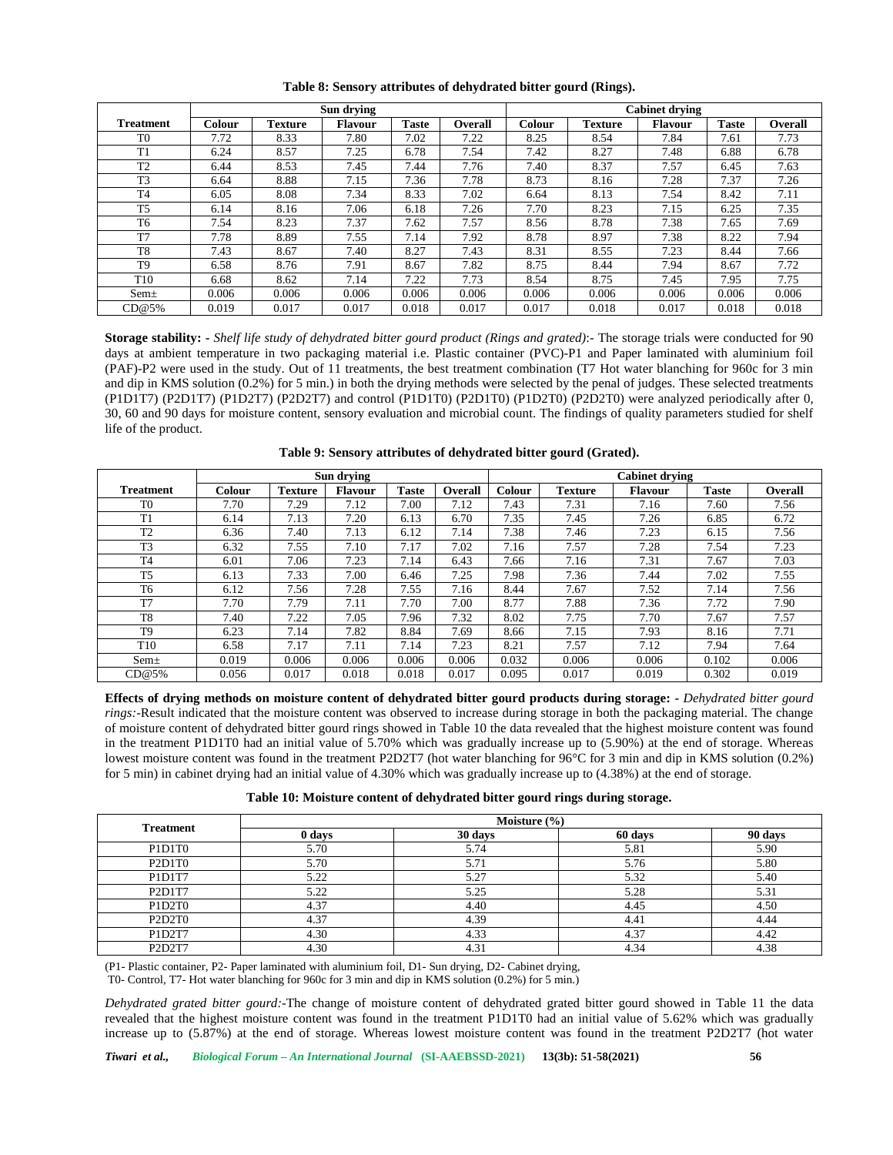|                  |               |         | Sun drying     |              |                | <b>Cabinet drying</b> |                |                |              |         |  |  |
|------------------|---------------|---------|----------------|--------------|----------------|-----------------------|----------------|----------------|--------------|---------|--|--|
| <b>Treatment</b> | <b>Colour</b> | Texture | <b>Flavour</b> | <b>Taste</b> | <b>Overall</b> | Colour                | <b>Texture</b> | <b>Flavour</b> | <b>Taste</b> | Overall |  |  |
| T <sub>0</sub>   | 7.72          | 8.33    | 7.80           | 7.02         | 7.22           | 8.25                  | 8.54           | 7.84           | 7.61         | 7.73    |  |  |
| T1               | 6.24          | 8.57    | 7.25           | 6.78         | 7.54           | 7.42                  | 8.27           | 7.48           | 6.88         | 6.78    |  |  |
| T <sub>2</sub>   | 6.44          | 8.53    | 7.45           | 7.44         | 7.76           | 7.40                  | 8.37           | 7.57           | 6.45         | 7.63    |  |  |
| T <sub>3</sub>   | 6.64          | 8.88    | 7.15           | 7.36         | 7.78           | 8.73                  | 8.16           | 7.28           | 7.37         | 7.26    |  |  |
| T4               | 6.05          | 8.08    | 7.34           | 8.33         | 7.02           | 6.64                  | 8.13           | 7.54           | 8.42         | 7.11    |  |  |
| T <sub>5</sub>   | 6.14          | 8.16    | 7.06           | 6.18         | 7.26           | 7.70                  | 8.23           | 7.15           | 6.25         | 7.35    |  |  |
| T6               | 7.54          | 8.23    | 7.37           | 7.62         | 7.57           | 8.56                  | 8.78           | 7.38           | 7.65         | 7.69    |  |  |
| T <sub>7</sub>   | 7.78          | 8.89    | 7.55           | 7.14         | 7.92           | 8.78                  | 8.97           | 7.38           | 8.22         | 7.94    |  |  |
| T8               | 7.43          | 8.67    | 7.40           | 8.27         | 7.43           | 8.31                  | 8.55           | 7.23           | 8.44         | 7.66    |  |  |
| T <sub>9</sub>   | 6.58          | 8.76    | 7.91           | 8.67         | 7.82           | 8.75                  | 8.44           | 7.94           | 8.67         | 7.72    |  |  |
| T <sub>10</sub>  | 6.68          | 8.62    | 7.14           | 7.22         | 7.73           | 8.54                  | 8.75           | 7.45           | 7.95         | 7.75    |  |  |
| $Sem\pm$         | 0.006         | 0.006   | 0.006          | 0.006        | 0.006          | 0.006                 | 0.006          | 0.006          | 0.006        | 0.006   |  |  |
| CD@5%            | 0.019         | 0.017   | 0.017          | 0.018        | 0.017          | 0.017                 | 0.018          | 0.017          | 0.018        | 0.018   |  |  |

**Table 8: Sensory attributes of dehydrated bitter gourd (Rings).**

**Storage stability: -** *Shelf life study of dehydrated bitter gourd product (Rings and grated)*:- The storage trials were conducted for 90 days at ambient temperature in two packaging material i.e. Plastic container (PVC)-P1 and Paper laminated with aluminium foil (PAF)-P2 were used in the study. Out of 11 treatments, the best treatment combination (T7 Hot water blanching for 960c for 3 min and dip in KMS solution (0.2%) for 5 min.) in both the drying methods were selected by the penal of judges. These selected treatments (P1D1T7) (P2D1T7) (P1D2T7) (P2D2T7) and control (P1D1T0) (P2D1T0) (P1D2T0) (P2D2T0) were analyzed periodically after 0, 30, 60 and 90 days for moisture content, sensory evaluation and microbial count. The findings of quality parameters studied for shelf life of the product.

|                  |               |                | Sun drying     |              |         | <b>Cabinet drying</b> |                |                |              |                |  |
|------------------|---------------|----------------|----------------|--------------|---------|-----------------------|----------------|----------------|--------------|----------------|--|
| <b>Treatment</b> | <b>Colour</b> | <b>Texture</b> | <b>Flavour</b> | <b>Taste</b> | Overall | <b>Colour</b>         | <b>Texture</b> | <b>Flavour</b> | <b>Taste</b> | <b>Overall</b> |  |
| T <sub>0</sub>   | 7.70          | 7.29           | 7.12           | 7.00         | 7.12    | 7.43                  | 7.31           | 7.16           | 7.60         | 7.56           |  |
| T1               | 6.14          | 7.13           | 7.20           | 6.13         | 6.70    | 7.35                  | 7.45           | 7.26           | 6.85         | 6.72           |  |
| T <sub>2</sub>   | 6.36          | 7.40           | 7.13           | 6.12         | 7.14    | 7.38                  | 7.46           | 7.23           | 6.15         | 7.56           |  |
| T <sub>3</sub>   | 6.32          | 7.55           | 7.10           | 7.17         | 7.02    | 7.16                  | 7.57           | 7.28           | 7.54         | 7.23           |  |
| <b>T4</b>        | 6.01          | 7.06           | 7.23           | 7.14         | 6.43    | 7.66                  | 7.16           | 7.31           | 7.67         | 7.03           |  |
| T <sub>5</sub>   | 6.13          | 7.33           | 7.00           | 6.46         | 7.25    | 7.98                  | 7.36           | 7.44           | 7.02         | 7.55           |  |
| T <sub>6</sub>   | 6.12          | 7.56           | 7.28           | 7.55         | 7.16    | 8.44                  | 7.67           | 7.52           | 7.14         | 7.56           |  |
| T <sub>7</sub>   | 7.70          | 7.79           | 7.11           | 7.70         | 7.00    | 8.77                  | 7.88           | 7.36           | 7.72         | 7.90           |  |
| T <sub>8</sub>   | 7.40          | 7.22           | 7.05           | 7.96         | 7.32    | 8.02                  | 7.75           | 7.70           | 7.67         | 7.57           |  |
| T <sub>9</sub>   | 6.23          | 7.14           | 7.82           | 8.84         | 7.69    | 8.66                  | 7.15           | 7.93           | 8.16         | 7.71           |  |
| T <sub>10</sub>  | 6.58          | 7.17           | 7.11           | 7.14         | 7.23    | 8.21                  | 7.57           | 7.12           | 7.94         | 7.64           |  |
| $Sem\pm$         | 0.019         | 0.006          | 0.006          | 0.006        | 0.006   | 0.032                 | 0.006          | 0.006          | 0.102        | 0.006          |  |
| CD@5%            | 0.056         | 0.017          | 0.018          | 0.018        | 0.017   | 0.095                 | 0.017          | 0.019          | 0.302        | 0.019          |  |

**Table 9: Sensory attributes of dehydrated bitter gourd (Grated).**

**Effects of drying methods on moisture content of dehydrated bitter gourd products during storage: -** *Dehydrated bitter gourd rings:-*Result indicated that the moisture content was observed to increase during storage in both the packaging material. The change of moisture content of dehydrated bitter gourd rings showed in Table 10 the data revealed that the highest moisture content was found in the treatment P1D1T0 had an initial value of 5.70% which was gradually increase up to (5.90%) at the end of storage. Whereas lowest moisture content was found in the treatment P2D2T7 (hot water blanching for 96°C for 3 min and dip in KMS solution (0.2%) for 5 min) in cabinet drying had an initial value of 4.30% which was gradually increase up to (4.38%) at the end of storage.

| Table 10: Moisture content of dehydrated bitter gourd rings during storage. |  |
|-----------------------------------------------------------------------------|--|
|                                                                             |  |

| <b>Treatment</b>                             | Moisture $(\% )$ |         |         |         |  |  |
|----------------------------------------------|------------------|---------|---------|---------|--|--|
|                                              | 0 days           | 30 days | 60 days | 90 days |  |  |
| P <sub>1</sub> D <sub>1</sub> T <sub>0</sub> | 5.70             | 5.74    | 5.81    | 5.90    |  |  |
| P <sub>2</sub> D <sub>1T0</sub>              | 5.70             | 5.71    | 5.76    | 5.80    |  |  |
| P1D1T7                                       | 5.22             | 5.27    | 5.32    | 5.40    |  |  |
| P <sub>2</sub> D <sub>1T7</sub>              | 5.22             | 5.25    | 5.28    | 5.31    |  |  |
| P1D2T0                                       | 4.37             | 4.40    | 4.45    | 4.50    |  |  |
| P <sub>2</sub> D <sub>2T0</sub>              | 4.37             | 4.39    | 4.41    | 4.44    |  |  |
| P1D2T7                                       | 4.30             | 4.33    | 4.37    | 4.42    |  |  |
| P <sub>2</sub> D <sub>2</sub> T <sub>7</sub> | 4.30             | 4.31    | 4.34    | 4.38    |  |  |

(P1- Plastic container, P2- Paper laminated with aluminium foil, D1- Sun drying, D2- Cabinet drying,

T0- Control, T7- Hot water blanching for 960c for 3 min and dip in KMS solution (0.2%) for 5 min.)

*Dehydrated grated bitter gourd:-*The change of moisture content of dehydrated grated bitter gourd showed in Table 11 the data revealed that the highest moisture content was found in the treatment P1D1T0 had an initial value of 5.62% which was gradually increase up to (5.87%) at the end of storage. Whereas lowest moisture content was found in the treatment P2D2T7 (hot water

*Tiwari et al., Biological Forum – An International Journal* **(SI-AAEBSSD-2021) 13(3b): 51-58(2021) 56**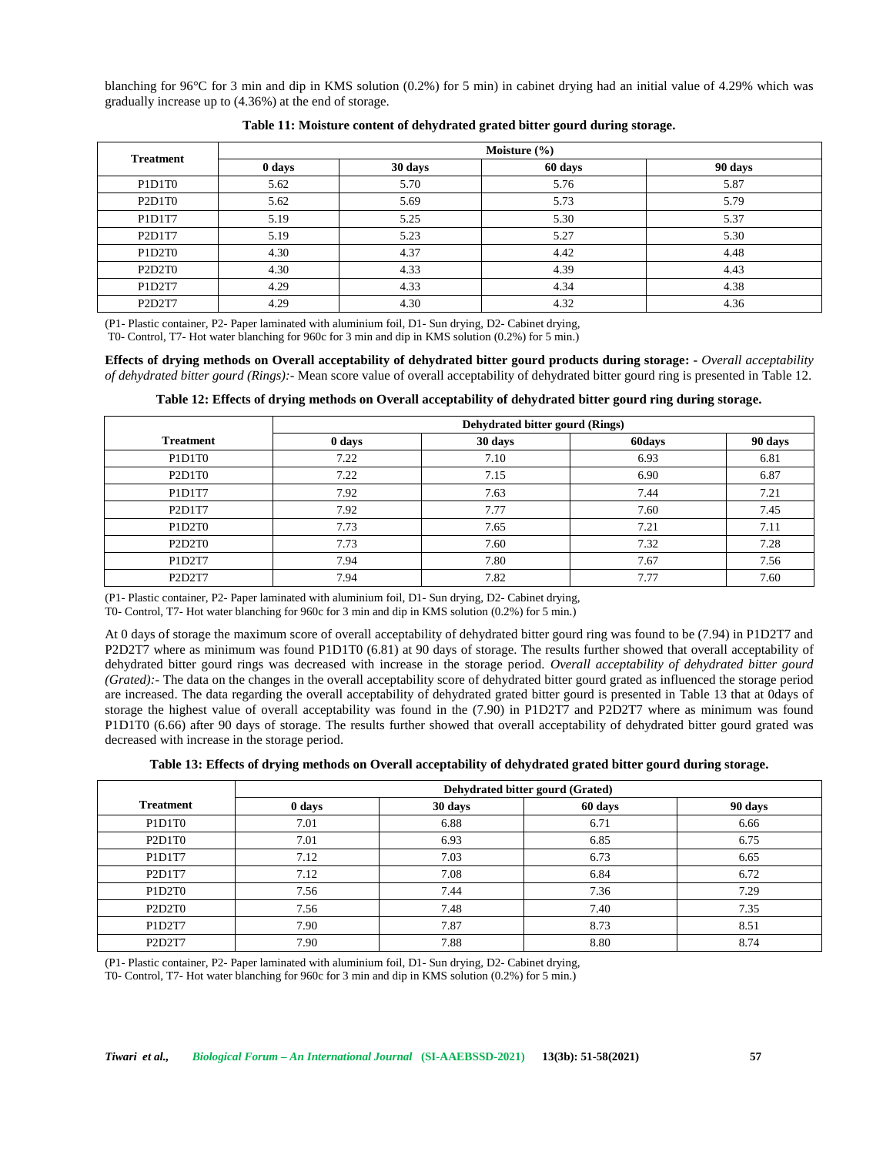blanching for 96°C for 3 min and dip in KMS solution (0.2%) for 5 min) in cabinet drying had an initial value of 4.29% which was gradually increase up to (4.36%) at the end of storage.

| <b>Treatment</b>                             | Moisture $(\% )$ |         |         |         |  |
|----------------------------------------------|------------------|---------|---------|---------|--|
|                                              | 0 days           | 30 days | 60 days | 90 days |  |
| P1D1T0                                       | 5.62             | 5.70    | 5.76    | 5.87    |  |
| P <sub>2</sub> D <sub>1T0</sub>              | 5.62             | 5.69    | 5.73    | 5.79    |  |
| P1D1T7                                       | 5.19             | 5.25    | 5.30    | 5.37    |  |
| P2D1T7                                       | 5.19             | 5.23    | 5.27    | 5.30    |  |
| P <sub>1</sub> D <sub>2</sub> T <sub>0</sub> | 4.30             | 4.37    | 4.42    | 4.48    |  |
| P <sub>2</sub> D <sub>2</sub> T <sub>0</sub> | 4.30             | 4.33    | 4.39    | 4.43    |  |
| P1D2T7                                       | 4.29             | 4.33    | 4.34    | 4.38    |  |
| P2D2T7                                       | 4.29             | 4.30    | 4.32    | 4.36    |  |

### **Table 11: Moisture content of dehydrated grated bitter gourd during storage.**

(P1- Plastic container, P2- Paper laminated with aluminium foil, D1- Sun drying, D2- Cabinet drying,

T0- Control, T7- Hot water blanching for 960c for 3 min and dip in KMS solution (0.2%) for 5 min.)

**Effects of drying methods on Overall acceptability of dehydrated bitter gourd products during storage: -** *Overall acceptability of dehydrated bitter gourd (Rings):-* Mean score value of overall acceptability of dehydrated bitter gourd ring is presented in Table 12.

|                                              | Dehydrated bitter gourd (Rings) |         |        |         |  |
|----------------------------------------------|---------------------------------|---------|--------|---------|--|
| <b>Treatment</b>                             | 0 days                          | 30 days | 60days | 90 days |  |
| P1D1T0                                       | 7.22                            | 7.10    | 6.93   | 6.81    |  |
| P <sub>2</sub> D <sub>1</sub> T <sub>0</sub> | 7.22                            | 7.15    | 6.90   | 6.87    |  |
| P1D1T7                                       | 7.92                            | 7.63    | 7.44   | 7.21    |  |
| P2D1T7                                       | 7.92                            | 7.77    | 7.60   | 7.45    |  |
| P1D2T0                                       | 7.73                            | 7.65    | 7.21   | 7.11    |  |
| P <sub>2</sub> D <sub>2</sub> T <sub>0</sub> | 7.73                            | 7.60    | 7.32   | 7.28    |  |
| P1D2T7                                       | 7.94                            | 7.80    | 7.67   | 7.56    |  |
| P <sub>2</sub> D <sub>2</sub> T <sub>7</sub> | 7.94                            | 7.82    | 7.77   | 7.60    |  |

**Table 12: Effects of drying methods on Overall acceptability of dehydrated bitter gourd ring during storage.**

(P1- Plastic container, P2- Paper laminated with aluminium foil, D1- Sun drying, D2- Cabinet drying,

T0- Control, T7- Hot water blanching for 960c for 3 min and dip in KMS solution (0.2%) for 5 min.)

At 0 days of storage the maximum score of overall acceptability of dehydrated bitter gourd ring was found to be (7.94) in P1D2T7 and P2D2T7 where as minimum was found P1D1T0 (6.81) at 90 days of storage. The results further showed that overall acceptability of dehydrated bitter gourd rings was decreased with increase in the storage period. *Overall acceptability of dehydrated bitter gourd (Grated):-* The data on the changes in the overall acceptability score of dehydrated bitter gourd grated as influenced the storage period are increased. The data regarding the overall acceptability of dehydrated grated bitter gourd is presented in Table 13 that at 0days of storage the highest value of overall acceptability was found in the (7.90) in P1D2T7 and P2D2T7 where as minimum was found P1D1T0 (6.66) after 90 days of storage. The results further showed that overall acceptability of dehydrated bitter gourd grated was decreased with increase in the storage period.

**Table 13: Effects of drying methods on Overall acceptability of dehydrated grated bitter gourd during storage.**

|                                              | Dehydrated bitter gourd (Grated) |         |         |         |
|----------------------------------------------|----------------------------------|---------|---------|---------|
| <b>Treatment</b>                             | 0 days                           | 30 days | 60 days | 90 days |
| P1D1T0                                       | 7.01                             | 6.88    | 6.71    | 6.66    |
| P <sub>2</sub> D <sub>1</sub> T <sub>0</sub> | 7.01                             | 6.93    | 6.85    | 6.75    |
| P1D1T7                                       | 7.12                             | 7.03    | 6.73    | 6.65    |
| P2D1T7                                       | 7.12                             | 7.08    | 6.84    | 6.72    |
| P <sub>1</sub> D <sub>2</sub> T <sub>0</sub> | 7.56                             | 7.44    | 7.36    | 7.29    |
| P <sub>2</sub> D <sub>2</sub> T <sub>0</sub> | 7.56                             | 7.48    | 7.40    | 7.35    |
| P1D2T7                                       | 7.90                             | 7.87    | 8.73    | 8.51    |
| P <sub>2</sub> D <sub>2</sub> T <sub>7</sub> | 7.90                             | 7.88    | 8.80    | 8.74    |

(P1- Plastic container, P2- Paper laminated with aluminium foil, D1- Sun drying, D2- Cabinet drying,

T0- Control, T7- Hot water blanching for 960c for 3 min and dip in KMS solution (0.2%) for 5 min.)